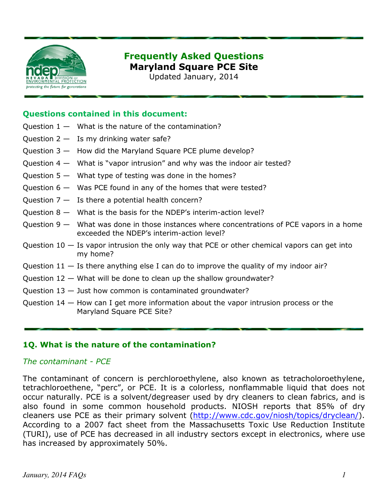

# Frequently Asked Questions Maryland Square PCE Site

Updated January, 2014

#### Questions contained in this document:

- Question  $1 -$  What is the nature of the contamination?
- Question  $2 Is$  my drinking water safe?
- Question 3 How did the Maryland Square PCE plume develop?
- Question 4 What is "vapor intrusion" and why was the indoor air tested?
- Question  $5 -$  What type of testing was done in the homes?
- Question  $6 -$  Was PCE found in any of the homes that were tested?
- Question  $7 I$ s there a potential health concern?
- Question 8 What is the basis for the NDEP's interim-action level?
- Question 9 What was done in those instances where concentrations of PCE vapors in a home exceeded the NDEP's interim-action level?
- Question  $10 -$  Is vapor intrusion the only way that PCE or other chemical vapors can get into my home?
- Question  $11 -$  Is there anything else I can do to improve the quality of my indoor air?
- Question 12 What will be done to clean up the shallow groundwater?
- Question 13 Just how common is contaminated groundwater?
- Question 14 How can I get more information about the vapor intrusion process or the Maryland Square PCE Site?

## 1Q. What is the nature of the contamination?

#### The contaminant - PCE

The contaminant of concern is perchloroethylene, also known as tetracholoroethylene, tetrachloroethene, "perc", or PCE. It is a colorless, nonflammable liquid that does not occur naturally. PCE is a solvent/degreaser used by dry cleaners to clean fabrics, and is also found in some common household products. NIOSH reports that 85% of dry cleaners use PCE as their primary solvent (http://www.cdc.gov/niosh/topics/dryclean/). According to a 2007 fact sheet from the Massachusetts Toxic Use Reduction Institute (TURI), use of PCE has decreased in all industry sectors except in electronics, where use has increased by approximately 50%.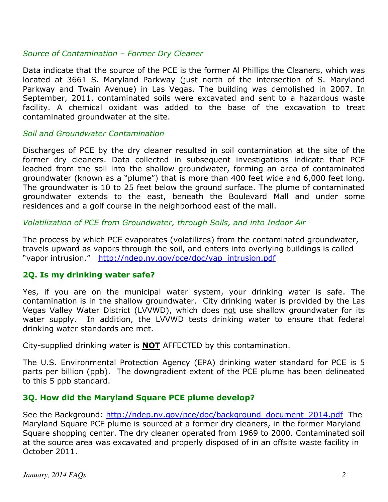## Source of Contamination – Former Dry Cleaner

Data indicate that the source of the PCE is the former Al Phillips the Cleaners, which was located at 3661 S. Maryland Parkway (just north of the intersection of S. Maryland Parkway and Twain Avenue) in Las Vegas. The building was demolished in 2007. In September, 2011, contaminated soils were excavated and sent to a hazardous waste facility. A chemical oxidant was added to the base of the excavation to treat contaminated groundwater at the site.

#### Soil and Groundwater Contamination

Discharges of PCE by the dry cleaner resulted in soil contamination at the site of the former dry cleaners. Data collected in subsequent investigations indicate that PCE leached from the soil into the shallow groundwater, forming an area of contaminated groundwater (known as a "plume") that is more than 400 feet wide and 6,000 feet long. The groundwater is 10 to 25 feet below the ground surface. The plume of contaminated groundwater extends to the east, beneath the Boulevard Mall and under some residences and a golf course in the neighborhood east of the mall.

Volatilization of PCE from Groundwater, through Soils, and into Indoor Air

The process by which PCE evaporates (volatilizes) from the contaminated groundwater, travels upward as vapors through the soil, and enters into overlying buildings is called "vapor intrusion." http://ndep.nv.gov/pce/doc/vap\_intrusion.pdf

## 2Q. Is my drinking water safe?

Yes, if you are on the municipal water system, your drinking water is safe. The contamination is in the shallow groundwater. City drinking water is provided by the Las Vegas Valley Water District (LVVWD), which does not use shallow groundwater for its water supply. In addition, the LVVWD tests drinking water to ensure that federal drinking water standards are met.

City-supplied drinking water is **NOT** AFFECTED by this contamination.

The U.S. Environmental Protection Agency (EPA) drinking water standard for PCE is 5 parts per billion (ppb). The downgradient extent of the PCE plume has been delineated to this 5 ppb standard.

# 3Q. How did the Maryland Square PCE plume develop?

See the Background: http://ndep.nv.gov/pce/doc/background\_document\_2014.pdf The Maryland Square PCE plume is sourced at a former dry cleaners, in the former Maryland Square shopping center. The dry cleaner operated from 1969 to 2000. Contaminated soil at the source area was excavated and properly disposed of in an offsite waste facility in October 2011.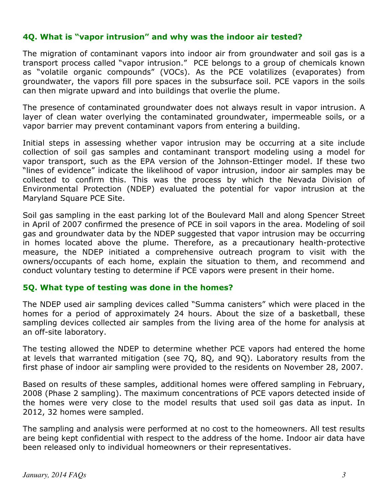# 4Q. What is "vapor intrusion" and why was the indoor air tested?

The migration of contaminant vapors into indoor air from groundwater and soil gas is a transport process called "vapor intrusion." PCE belongs to a group of chemicals known as "volatile organic compounds" (VOCs). As the PCE volatilizes (evaporates) from groundwater, the vapors fill pore spaces in the subsurface soil. PCE vapors in the soils can then migrate upward and into buildings that overlie the plume.

The presence of contaminated groundwater does not always result in vapor intrusion. A layer of clean water overlying the contaminated groundwater, impermeable soils, or a vapor barrier may prevent contaminant vapors from entering a building.

Initial steps in assessing whether vapor intrusion may be occurring at a site include collection of soil gas samples and contaminant transport modeling using a model for vapor transport, such as the EPA version of the Johnson-Ettinger model. If these two "lines of evidence" indicate the likelihood of vapor intrusion, indoor air samples may be collected to confirm this. This was the process by which the Nevada Division of Environmental Protection (NDEP) evaluated the potential for vapor intrusion at the Maryland Square PCE Site.

Soil gas sampling in the east parking lot of the Boulevard Mall and along Spencer Street in April of 2007 confirmed the presence of PCE in soil vapors in the area. Modeling of soil gas and groundwater data by the NDEP suggested that vapor intrusion may be occurring in homes located above the plume. Therefore, as a precautionary health-protective measure, the NDEP initiated a comprehensive outreach program to visit with the owners/occupants of each home, explain the situation to them, and recommend and conduct voluntary testing to determine if PCE vapors were present in their home.

## 5Q. What type of testing was done in the homes?

The NDEP used air sampling devices called "Summa canisters" which were placed in the homes for a period of approximately 24 hours. About the size of a basketball, these sampling devices collected air samples from the living area of the home for analysis at an off-site laboratory.

The testing allowed the NDEP to determine whether PCE vapors had entered the home at levels that warranted mitigation (see 7Q, 8Q, and 9Q). Laboratory results from the first phase of indoor air sampling were provided to the residents on November 28, 2007.

Based on results of these samples, additional homes were offered sampling in February, 2008 (Phase 2 sampling). The maximum concentrations of PCE vapors detected inside of the homes were very close to the model results that used soil gas data as input. In 2012, 32 homes were sampled.

The sampling and analysis were performed at no cost to the homeowners. All test results are being kept confidential with respect to the address of the home. Indoor air data have been released only to individual homeowners or their representatives.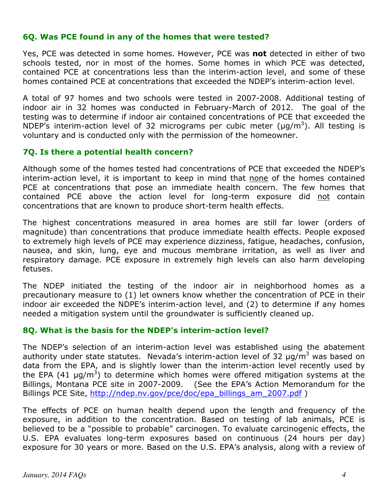## 6Q. Was PCE found in any of the homes that were tested?

Yes, PCE was detected in some homes. However, PCE was not detected in either of two schools tested, nor in most of the homes. Some homes in which PCE was detected, contained PCE at concentrations less than the interim-action level, and some of these homes contained PCE at concentrations that exceeded the NDEP's interim-action level.

A total of 97 homes and two schools were tested in 2007-2008. Additional testing of indoor air in 32 homes was conducted in February-March of 2012. The goal of the testing was to determine if indoor air contained concentrations of PCE that exceeded the NDEP's interim-action level of 32 micrograms per cubic meter ( $\mu$ g/m<sup>3</sup>). All testing is voluntary and is conducted only with the permission of the homeowner.

## 7Q. Is there a potential health concern?

Although some of the homes tested had concentrations of PCE that exceeded the NDEP's interim-action level, it is important to keep in mind that none of the homes contained PCE at concentrations that pose an immediate health concern. The few homes that contained PCE above the action level for long-term exposure did not contain concentrations that are known to produce short-term health effects.

The highest concentrations measured in area homes are still far lower (orders of magnitude) than concentrations that produce immediate health effects. People exposed to extremely high levels of PCE may experience dizziness, fatigue, headaches, confusion, nausea, and skin, lung, eye and mucous membrane irritation, as well as liver and respiratory damage. PCE exposure in extremely high levels can also harm developing fetuses.

The NDEP initiated the testing of the indoor air in neighborhood homes as a precautionary measure to (1) let owners know whether the concentration of PCE in their indoor air exceeded the NDPE's interim-action level, and (2) to determine if any homes needed a mitigation system until the groundwater is sufficiently cleaned up.

## 8Q. What is the basis for the NDEP's interim-action level?

The NDEP's selection of an interim-action level was established using the abatement authority under state statutes. Nevada's interim-action level of 32 µg/m<sup>3</sup> was based on data from the EPA, and is slightly lower than the interim-action level recently used by the EPA (41  $\mu$ g/m<sup>3</sup>) to determine which homes were offered mitigation systems at the Billings, Montana PCE site in 2007-2009. (See the EPA's Action Memorandum for the Billings PCE Site, http://ndep.nv.gov/pce/doc/epa\_billings\_am\_2007.pdf )

The effects of PCE on human health depend upon the length and frequency of the exposure, in addition to the concentration. Based on testing of lab animals, PCE is believed to be a "possible to probable" carcinogen. To evaluate carcinogenic effects, the U.S. EPA evaluates long-term exposures based on continuous (24 hours per day) exposure for 30 years or more. Based on the U.S. EPA's analysis, along with a review of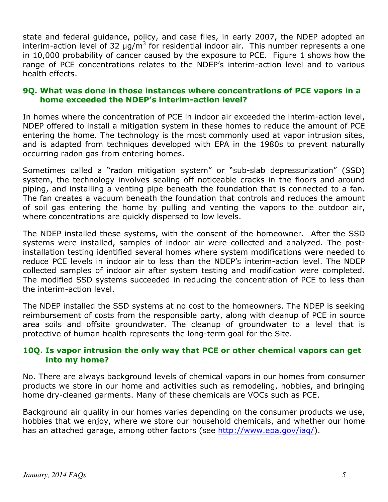state and federal guidance, policy, and case files, in early 2007, the NDEP adopted an interim-action level of 32  $\mu$ g/m<sup>3</sup> for residential indoor air. This number represents a one in 10,000 probability of cancer caused by the exposure to PCE. Figure 1 shows how the range of PCE concentrations relates to the NDEP's interim-action level and to various health effects.

## 9Q. What was done in those instances where concentrations of PCE vapors in a home exceeded the NDEP's interim-action level?

In homes where the concentration of PCE in indoor air exceeded the interim-action level, NDEP offered to install a mitigation system in these homes to reduce the amount of PCE entering the home. The technology is the most commonly used at vapor intrusion sites, and is adapted from techniques developed with EPA in the 1980s to prevent naturally occurring radon gas from entering homes.

Sometimes called a "radon mitigation system" or "sub-slab depressurization" (SSD) system, the technology involves sealing off noticeable cracks in the floors and around piping, and installing a venting pipe beneath the foundation that is connected to a fan. The fan creates a vacuum beneath the foundation that controls and reduces the amount of soil gas entering the home by pulling and venting the vapors to the outdoor air, where concentrations are quickly dispersed to low levels.

The NDEP installed these systems, with the consent of the homeowner. After the SSD systems were installed, samples of indoor air were collected and analyzed. The postinstallation testing identified several homes where system modifications were needed to reduce PCE levels in indoor air to less than the NDEP's interim-action level. The NDEP collected samples of indoor air after system testing and modification were completed. The modified SSD systems succeeded in reducing the concentration of PCE to less than the interim-action level.

The NDEP installed the SSD systems at no cost to the homeowners. The NDEP is seeking reimbursement of costs from the responsible party, along with cleanup of PCE in source area soils and offsite groundwater. The cleanup of groundwater to a level that is protective of human health represents the long-term goal for the Site.

# 10Q. Is vapor intrusion the only way that PCE or other chemical vapors can get into my home?

No. There are always background levels of chemical vapors in our homes from consumer products we store in our home and activities such as remodeling, hobbies, and bringing home dry-cleaned garments. Many of these chemicals are VOCs such as PCE.

Background air quality in our homes varies depending on the consumer products we use, hobbies that we enjoy, where we store our household chemicals, and whether our home has an attached garage, among other factors (see http://www.epa.gov/iaq/).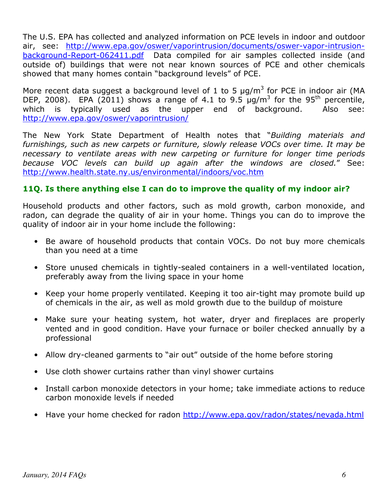The U.S. EPA has collected and analyzed information on PCE levels in indoor and outdoor air, see: http://www.epa.gov/oswer/vaporintrusion/documents/oswer-vapor-intrusionbackground-Report-062411.pdf Data compiled for air samples collected inside (and outside of) buildings that were not near known sources of PCE and other chemicals showed that many homes contain "background levels" of PCE.

More recent data suggest a background level of 1 to 5  $\mu$ g/m<sup>3</sup> for PCE in indoor air (MA DEP, 2008). EPA (2011) shows a range of 4.1 to 9.5  $\mu$ g/m<sup>3</sup> for the 95<sup>th</sup> percentile, which is typically used as the upper end of background. Also see: http://www.epa.gov/oswer/vaporintrusion/

The New York State Department of Health notes that "Building materials and furnishings, such as new carpets or furniture, slowly release VOCs over time. It may be necessary to ventilate areas with new carpeting or furniture for longer time periods because VOC levels can build up again after the windows are closed." See: http://www.health.state.ny.us/environmental/indoors/voc.htm

# 11Q. Is there anything else I can do to improve the quality of my indoor air?

Household products and other factors, such as mold growth, carbon monoxide, and radon, can degrade the quality of air in your home. Things you can do to improve the quality of indoor air in your home include the following:

- Be aware of household products that contain VOCs. Do not buy more chemicals than you need at a time
- Store unused chemicals in tightly-sealed containers in a well-ventilated location, preferably away from the living space in your home
- Keep your home properly ventilated. Keeping it too air-tight may promote build up of chemicals in the air, as well as mold growth due to the buildup of moisture
- Make sure your heating system, hot water, dryer and fireplaces are properly vented and in good condition. Have your furnace or boiler checked annually by a professional
- Allow dry-cleaned garments to "air out" outside of the home before storing
- Use cloth shower curtains rather than vinyl shower curtains
- Install carbon monoxide detectors in your home; take immediate actions to reduce carbon monoxide levels if needed
- Have your home checked for radon http://www.epa.gov/radon/states/nevada.html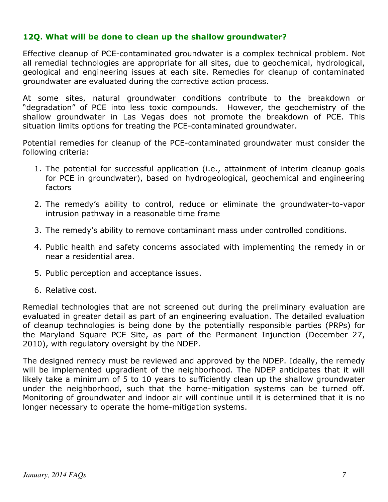## 12Q. What will be done to clean up the shallow groundwater?

Effective cleanup of PCE-contaminated groundwater is a complex technical problem. Not all remedial technologies are appropriate for all sites, due to geochemical, hydrological, geological and engineering issues at each site. Remedies for cleanup of contaminated groundwater are evaluated during the corrective action process.

At some sites, natural groundwater conditions contribute to the breakdown or "degradation" of PCE into less toxic compounds. However, the geochemistry of the shallow groundwater in Las Vegas does not promote the breakdown of PCE. This situation limits options for treating the PCE-contaminated groundwater.

Potential remedies for cleanup of the PCE-contaminated groundwater must consider the following criteria:

- 1. The potential for successful application (i.e., attainment of interim cleanup goals for PCE in groundwater), based on hydrogeological, geochemical and engineering factors
- 2. The remedy's ability to control, reduce or eliminate the groundwater-to-vapor intrusion pathway in a reasonable time frame
- 3. The remedy's ability to remove contaminant mass under controlled conditions.
- 4. Public health and safety concerns associated with implementing the remedy in or near a residential area.
- 5. Public perception and acceptance issues.
- 6. Relative cost.

Remedial technologies that are not screened out during the preliminary evaluation are evaluated in greater detail as part of an engineering evaluation. The detailed evaluation of cleanup technologies is being done by the potentially responsible parties (PRPs) for the Maryland Square PCE Site, as part of the Permanent Injunction (December 27, 2010), with regulatory oversight by the NDEP.

The designed remedy must be reviewed and approved by the NDEP. Ideally, the remedy will be implemented upgradient of the neighborhood. The NDEP anticipates that it will likely take a minimum of 5 to 10 years to sufficiently clean up the shallow groundwater under the neighborhood, such that the home-mitigation systems can be turned off. Monitoring of groundwater and indoor air will continue until it is determined that it is no longer necessary to operate the home-mitigation systems.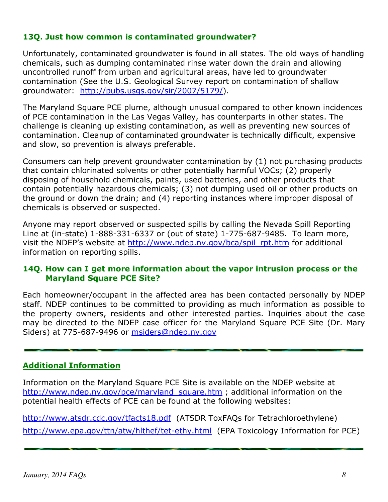# 13Q. Just how common is contaminated groundwater?

Unfortunately, contaminated groundwater is found in all states. The old ways of handling chemicals, such as dumping contaminated rinse water down the drain and allowing uncontrolled runoff from urban and agricultural areas, have led to groundwater contamination (See the U.S. Geological Survey report on contamination of shallow groundwater: http://pubs.usgs.gov/sir/2007/5179/).

The Maryland Square PCE plume, although unusual compared to other known incidences of PCE contamination in the Las Vegas Valley, has counterparts in other states. The challenge is cleaning up existing contamination, as well as preventing new sources of contamination. Cleanup of contaminated groundwater is technically difficult, expensive and slow, so prevention is always preferable.

Consumers can help prevent groundwater contamination by (1) not purchasing products that contain chlorinated solvents or other potentially harmful VOCs; (2) properly disposing of household chemicals, paints, used batteries, and other products that contain potentially hazardous chemicals; (3) not dumping used oil or other products on the ground or down the drain; and (4) reporting instances where improper disposal of chemicals is observed or suspected.

Anyone may report observed or suspected spills by calling the Nevada Spill Reporting Line at (in-state) 1-888-331-6337 or (out of state) 1-775-687-9485. To learn more, visit the NDEP's website at http://www.ndep.nv.gov/bca/spil\_rpt.htm for additional information on reporting spills.

## 14Q. How can I get more information about the vapor intrusion process or the Maryland Square PCE Site?

Each homeowner/occupant in the affected area has been contacted personally by NDEP staff. NDEP continues to be committed to providing as much information as possible to the property owners, residents and other interested parties. Inquiries about the case may be directed to the NDEP case officer for the Maryland Square PCE Site (Dr. Mary Siders) at 775-687-9496 or msiders@ndep.nv.gov

# Additional Information

Information on the Maryland Square PCE Site is available on the NDEP website at http://www.ndep.nv.gov/pce/maryland square.htm ; additional information on the potential health effects of PCE can be found at the following websites:

http://www.atsdr.cdc.gov/tfacts18.pdf (ATSDR ToxFAQs for Tetrachloroethylene) http://www.epa.gov/ttn/atw/hlthef/tet-ethy.html (EPA Toxicology Information for PCE)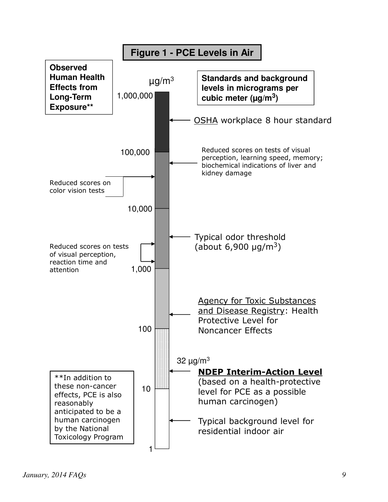